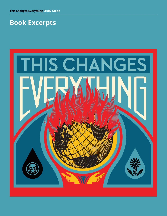# **Book Excerpts**

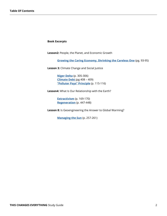## **Book Excerpts**

**Lesson2:** People, the Planet, and Economic Growth

**[Growing the Caring Economy, Shrinking the Careless One](#page-2-0)** (pg. 93-95)

**Lesson 3:** Climate Change and Social Justice

**[Niger Delta](#page-4-0)** (p. 305-306) **[Climate Debt](#page-6-0)** (pg 408 – 409) **["Polluter Pays" Principle](#page-7-0)** (p. 115-116)

**Lesson4:** What Is Our Relationship with the Earth?

**[Extractivism](#page-9-0)** (p. 169-170) **[Regeneration](#page-10-0)** (p. 447-448)

**Lesson 8:** Is Geoengineering the Answer to Global Warming?

**[Managing the Sun](#page-12-0)** (p. 257-261)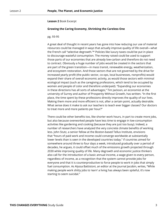## <span id="page-2-0"></span>**Lesson 2** Book Excerpt

## **Growing the Caring Economy, Shrinking the Careless One**

## pg. 93-95

A great deal of thought in recent years has gone into how reducing our use of material resources could be managed in ways that actually improve quality of life overall—what the French call "selective degrowth."\* Policies like luxury taxes could be put in place to discourage wasteful consumption. The money raised could be used to support those parts of our economies that are already low-carbon and therefore do not need to contract. Obviously a huge number of jobs would be created in the sectors that are part of the green transition—in mass transit, renewable energy, weatherization, and ecosystem restoration. And those sectors that are not governed by the drive for increased yearly profit (the public sector, co-ops, local businesses, nonprofits) would expand their share of overall economic activity, as would those sectors with minimal ecological impact (such as the caregiving professions, which tend to be occupied by women and people of color and therefore underpaid). "Expanding our economies in these directions has all sorts of advantages," Tim Jackson, an economist at the university of Surrey and author of Prosperity Without Growth, has written. "In the first place, the time spent by these professions directly improves the quality of our lives. Making them more and more efficient is not, after a certain point, actually desirable. What sense does it make to ask our teachers to teach ever bigger classes? Our doctors to treat more and more patients per hour?"

There could be other benefits too, like shorter work hours, in part to create more jobs, but also because overworked people have less time to engage in low-consumption activities like gardening and cooking (because they are just too busy). Indeed, a number of researchers have analyzed the very concrete climate benefits of working less. John Stutz, a senior fellow at the Boston-based Tellus Institute, envisions that "hours of paid work and income could converge worldwide at substantially lower levels than is seen in the developed countries today." if countries aimed for somewhere around three to four days a week, introduced gradually over a period of decades, he argues, it could offset much of the emissions growth projected through 2030 while improving quality of life. Many degrowth and economic justice thinkers also call for the introduction of a basic annual income, a wage given to every person, regardless of income, as a recognition that the system cannot provide jobs for everyone and that it is counterproductive to force people to work in jobs that simply fuel consumption. As Alyssa Battistoni, an editor at the journal Jacobin, writes, "While making people work shitty jobs to 'earn' a living has always been spiteful, it's now starting to seem suicidal."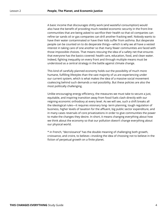A basic income that discourages shitty work (and wasteful consumption) would also have the benefit of providing much-needed economic security in the front-line communities that are being asked to sacrifice their health so that oil companies can refine tar sands oil or gas companies can drill another fracking well. Nobody wants to have their water contaminated or have their kids suffer from asthma. But desperate people can be counted on to do desperate things—which is why we all have a vested interest in taking care of one another so that many fewer communities are faced with those impossible choices. That means rescuing the idea of a safety net that ensures that everyone has the basics covered: health care, education, food, and clean water. Indeed, fighting inequality on every front and through multiple means must be understood as a central strategy in the battle against climate change.

This kind of carefully planned economy holds out the possibility of much more humane, fulfilling lifestyles than the vast majority of us are experiencing under our current system, which is what makes the idea of a massive social movement coalescing behind such demands a real possibility. But these policies are also the most politically challenging.

Unlike encouraging energy efficiency, the measures we must take to secure a just, equitable, and inspiring transition away from fossil fuels clash directly with our reigning economic orthodoxy at every level. As we will see, such a shift breaks all the ideological rules—it requires visionary long- term planning, tough regulation of business, higher levels of taxation for the affluent, big public sector expenditure, and in many cases reversals of core privatizations in order to give communities the power to make the changes they desire. In short, it means changing everything about how we think about the economy so that our pollution doesn't change everything about our physical world.

\* in French, "decroissance" has the double meaning of challenging both growth, croissance, and croire, to believe—invoking the idea of choosing not to believe in the fiction of perpetual growth on a finite planet.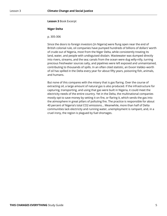# <span id="page-4-0"></span>**Lesson 3** Book Excerpt

# **Niger Delta**

## p. 305-306

Since the doors to foreign investors [in Nigeria] were flung open near the end of British colonial rule, oil companies have pumped hundreds of billions of dollars' worth of crude out of Nigeria, most from the Niger Delta, while consistently treating its land, water, and people with undisguised disdain. Wastewater was dumped directly into rivers, streams, and the sea; canals from the ocean were dug willy-nilly, turning precious freshwater sources salty, and pipelines were left exposed and unmaintained, contributing to thousands of spills. In an often cited statistic, an Exxon Valdez–worth of oil has spilled in the Delta every year for about fifty years, poisoning fish, animals, and humans.

But none of this compares with the misery that is gas flaring. Over the course of extracting oil, a large amount of natural gas is also produced. If the infrastructure for capturing, transporting, and using that gas were built in Nigeria, it could meet the electricity needs of the entire country. Yet in the Delta, the multinational companies mostly opt to save money by setting it on fire, or flaring it, which sends the gas into the atmosphere in great pillars of polluting fire. The practice is responsible for about 40 percent of Nigeria's total CO2 emissions… Meanwhile, more than half of Delta communities lack electricity and running water, unemployment is rampant, and, in a cruel irony, the region is plagued by fuel shortages.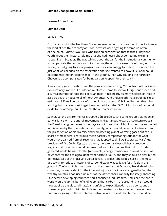#### **Lesson 3** Book Excerpt

# **Climate Debt**

#### pg 408 – 409

On my first visit to the Northern Cheyenne reservation, the question of how to finance the kind of healthy economy anti-coal activists were fighting for came up often. At one point, Lynette Two Bulls, who runs an organization that teaches Cheyenne youth about their history, told me that she had heard about something exciting happening in Ecuador. She was talking about the call for the international community to compensate the country for not extracting the oil in the Yasuní rainforest, with the money raised going to social programs and a clean energy transition. It sounded like just what was needed on the reservation and she wanted to know: if Ecuador could be compensated for keeping its oil in the ground, then why couldn't the northern Cheyenne be compensated for being carbon keepers for their coal?

It was a very good question, and the parallels were striking. Yasuní National Park is an extraordinary swath of Ecuadorian rainforest, home to several Indigenous tribes and a surreal number of rare and exotic animals (it has nearly as many species of trees in 2.5 acres as are native to all of north America). And underneath that riot of life sits an estimated 850 million barrels of crude oil, worth about \$7 billion. Burning that oil and logging the rainforest to get it—would add another 547 million tons of carbon dioxide to the atmosphere. Of course the oil majors want in.

So in 2006, the environmental group Acción Ecológica (the same group that made an early alliance with the anti-oil movement in Nigeria) put forward a counterproposal: the Ecuadorian government should agree not to sell the oil, but it should be supported in this action by the international community, which would benefit collectively from the preservation of biodiversity and from keeping planet-warming gases out of our shared atmosphere. That would mean partially compensating Ecuador for what it would have earned from oil revenues had it opted to drill. As Esperanza Martínez, president of Acción Ecológica, explained, the "proposal establishes a precedent, arguing that countries should be rewarded for not exploiting their oil. . . . Funds gathered would be used for the [renewable] energy transition and could be seen as payments for the ecological debt from north to South, and they should be distributed democratically at the local and global levels." Besides, she writes, surely "the most direct way to reduce emissions of carbon dioxide was to leave fossil fuels in the ground." The Yasuní plan was based on the premise that Ecuador, like all developing countries, is owed a debt for the inherent injustice of climate change—the fact that wealthy countries had used up most of the atmospheric capacity for safely absorbing CO2 before developing countries had a chance to industrialize. And since the entire world would reap the benefits of keeping that carbon in the ground (since it would help stabilize the global climate), it is unfair to expect Ecuador, as a poor country whose people had contributed little to the climate crisis, to shoulder the economic burden for giving up those potential petro dollars. Instead, that burden should be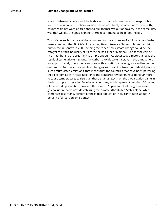<span id="page-6-0"></span>shared between Ecuador and the highly industrialized countries most responsible for the buildup of atmospheric carbon. This is not charity, in other words: if wealthy countries do not want poorer ones to pull themselves out of poverty in the same dirty way that we did, the onus is on northern governments to help foot the bill.

This, of course, is the core of the argument for the existence of a "climate debt"—the same argument that Bolivia's climate negotiator, Angélica Navarro Llanos, had laid out for me in Geneva in 2009, helping me to see how climate change could be the catalyst to attack inequality at its core, the basis for a "Marshall Plan for the earth." The math behind the argument is simple enough. As discussed, climate change is the result of cumulative emissions: the carbon dioxide we emit stays in the atmosphere for approximately one to two centuries, with a portion remaining for a millennium or even more. And since the climate is changing as a result of two-hundred-odd years of such accumulated emissions, that means that the countries that have been powering their economies with fossil fuels since the industrial revolution have done far more to cause temperatures to rise than those that just got in on the globalization game in the last couple of decades. Developed countries, which represent less than 20 percent of the world's population, have emitted almost 70 percent of all the greenhouse gas pollution that is now destabilizing the climate. (the United States alone, which comprises less than 5 percent of the global population, now contributes about 14 percent of all carbon emissions.)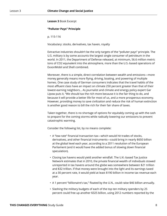## <span id="page-7-0"></span>**Lesson 3** Book Excerpt

## **"Polluter Pays" Principle**

p. 115-116

Vocabulary: stocks, derivatives, tax haven, royalty

Extractive industries shouldn't be the only targets of the "polluter pays" principle. The U.S. military is by some accounts the largest single consumer of petroleum in the world. In 2011, the Department of Defense released, at minimum, 56.6 million metric tons of CO2 equivalent into the atmosphere, more than the U.S.-based operations of ExxonMobil and Shell combined.

Moreover, there is a simple, direct correlation between wealth and emissions—more money generally means more flying, driving, boating, and powering of multiple homes. One case study of German consumers indicates that the travel habits of the most affluent class have an impact on climate 250 percent greater than that of their lowest-earning neighbors… As journalist and climate and energy policy expert Gar Lipow puts it, "We should tax the rich more because it is the fair thing to do, and because it will provide a better life for most of us, and a more prosperous economy. However, providing money to save civilization and reduce the risk of human extinction is another good reason to bill the rich for their fair share of taxes.

Taken together, there is no shortage of options for equitably coming up with the cash to prepare for the coming storms while radically lowering our emissions to prevent catastrophic warming.

Consider the following list, by no means complete:

- A "low-rate" financial transaction tax—which would hit trades of stocks, derivatives, and other financial instruments—could bring in nearly \$650 billion at the global level each year, according to a 2011 resolution of the European Parliament (and it would have the added bonus of slowing down financial speculation).
- Closing tax havens would yield another windfall. The U.K.-based Tax Justice Network estimates that in 2010, the private financial wealth of individuals stowed unreported in tax havens around the globe was somewhere between \$21 trillion and \$32 trillion. If that money were brought into the light and its earnings taxed at a 30 percent rate, it would yield at least \$190 billion in income tax revenue each year.
- A 1 percent "billionaire's tax," floated by the U.N., could raise \$46 billion annually.
- Slashing the military budgets of each of the top ten military spenders by 25 percent could free up another \$325 billion, using 2012 numbers reported by the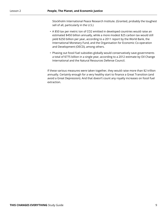Stockholm International Peace Research Institute. (Granted, probably the toughest sell of all, particularly in the U.S.)

- A \$50 tax per metric ton of CO2 emitted in developed countries would raise an estimated \$450 billion annually, while a more modest \$25 carbon tax would still yield \$250 billion per year, according to a 2011 report by the World Bank, the International Monetary Fund, and the Organisation for Economic Co-operation and Development (OECD), among others.
- Phasing out fossil fuel subsidies globally would conservatively save governments a total of \$775 billion in a single year, according to a 2012 estimate by Oil Change International and the Natural Resources Defense Council.

If these various measures were taken together, they would raise more than \$2 trillion annually. Certainly enough for a very healthy start to finance a Great Transition (and avoid a Great Depression). And that doesn't count any royalty increases on fossil fuel extraction.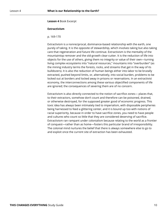## <span id="page-9-0"></span>**Lesson 4** Book Excerpt

## **Extractivism**

## p. 169-170

Extractivism is a nonreciprocal, dominance-based relationship with the earth, one purely of taking. It is the opposite of stewardship, which involves taking but also taking care that regeneration and future life continue. Extractivism is the mentality of the mountaintop remover and the old-growth clear-cutter. It is the reduction of life into objects for the use of others, giving them no integrity or value of their own—turning living complex ecosystems into "natural resources," mountains into "overburden" (as the mining industry terms the forests, rocks, and streams that get in the way of its bulldozers). It is also the reduction of human beings either into labor to be brutally extracted, pushed beyond limits, or, alternatively, into social burden, problems to be locked out at borders and locked away in prisons or reservations. In an extractivist economy, the interconnections among these various objectified components of life are ignored; the consequences of severing them are of no concern.

Extractivism is also directly connected to the notion of sacrifice zones— places that, to their extractors, somehow don't count and therefore can be poisoned, drained, or otherwise destroyed, for the supposed greater good of economic progress. This toxic idea has always been intimately tied to imperialism, with disposable peripheries being harnessed to feed a glittering center, and it is bound up too with notions of racial superiority, because in order to have sacrifice zones, you need to have people and cultures who count so little that they are considered deserving of sacrifice. Extractivism ran rampant under colonialism because relating to the world as a frontier of conquest—rather than as home—fosters this particular brand of irresponsibility. The colonial mind nurtures the belief that there is always somewhere else to go to and exploit once the current site of extraction has been exhausted.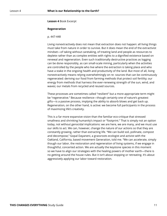#### <span id="page-10-0"></span>**Lesson 4** Book Excerpt

#### **Regeneration**

#### p. 447-448

Living nonextractively does not mean that extraction does not happen: all living things must take from nature in order to survive. But it does mean the end of the extractivist mindset—of taking without caretaking, of treating land and people as resources to deplete rather than as complex entities with rights to a dignified existence based on renewal and regeneration. Even such traditionally destructive practices as logging can be done responsibly, as can small-scale mining, particularly when the activities are controlled by the people who live where the extraction is taking place and who have a stake in the ongoing health and productivity of the land. But most of all, living nonextractively means relying overwhelmingly on re- sources that can be continuously regenerated: deriving our food from farming methods that protect soil fertility; our energy from methods that harness the ever-renewing strength of the sun, wind, and waves; our metals from recycled and reused sources.

These processes are sometimes called "resilient" but a more appropriate term might be "regenerative." Because resilience—though certainly one of nature's greatest gifts—is a passive process, implying the ability to absorb blows and get back up. Regeneration, on the other hand, is active: we become full participants in the process of maximizing life's creativity.

This is a far more expansive vision than the familiar eco-critique that stressed smallness and shrinking humanity's impact or "footprint." That is simply not an option today, not without genocidal implications: we are here, we are many, and we must use our skills to act. We can, however, change the nature of our actions so that they are constantly growing, rather than extracting life. "We can build soil, pollinate, compost and decompose," Gopal Dayaneni, a grassroots ecologist and activist with the Oakland, California, based movement Generation, told me. "We can accelerate, simply though our labor, the restoration and regeneration of living systems, if we engage in thoughtful, concerted action. We are actually the keystone species in this moment so we have to align our strategies with the healing powers of mother earth—there is no getting around the house rules. But it isn't about stopping or retreating. It's about aggressively applying our labor toward restoration.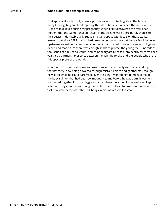That spirit is already busily at work promoting and protecting life in the face of so many life-negating and life-forgetting threats. It has even reached the creek where I used to take hikes during my pregnancy. When I first discovered the trail, I had thought that the salmon that still swam in the stream were there purely thanks to the species' indomitable will. But as I met and spoke with locals on those walks, I learned that since 1992 the fish had been helped along by a hatchery a few kilometers upstream, as well as by teams of volunteers that worked to clear the water of logging debris and made sure there was enough shade to protect the young fry. Hundreds of thousands of pink, coho, chum, and chinook fry are released into nearby streams each year. It's a partnership of sorts between the fish, the forest, and the people who share this special piece of the world.

So about two months after my son was born, our little family went on a field trip to that hatchery, now being powered through micro turbines and geothermal. though he was so small he could barely see over the sling, I wanted him to meet some of the baby salmon that had been so important to me before he was born. It was fun: we peered together into the big green tanks where the young fish were being kept safe until they grew strong enough to protect themselves. And we went home with a "salmon alphabet" poster that still hangs in his room ("s" is for smolt).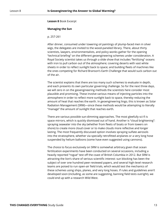#### <span id="page-12-0"></span>**Lesson 8** Book Excerpt

# **Managing the Sun**

## p. 257-261

After dinner, consumed under towering oil paintings of plump-faced men in silver wigs, the delegates are invited to the wood-paneled library. There, about thirty scientists, lawyers, environmentalists, and policy wonks gather for the opening "technical briefing" on the different geoengineering schemes under consideration. A Royal Society scientist takes us through a slide show that includes "fertilizing" oceans with iron to pull carbon out of the atmosphere; covering deserts with vast white sheets in order to reflect sunlight back to space; and building fleets of machines like the ones competing for Richard Branson's Earth Challenge that would suck carbon out of the air.

The scientist explains that there are too many such schemes to evaluate in depth, and each presents its own particular governing challenge. So for the next three days, we will zero in on the geoengineering methods the scientists here consider most plausible and promising. These involve various means of injecting particles into the atmosphere in order to reflect more sunlight back to space, thereby reducing the amount of heat that reaches the earth. In geoengineering lingo, this is known as Solar Radiation Management (SRM)—since these methods would be attempting to literally "manage" the amount of sunlight that reaches earth.

There are various possible sun-dimming approaches. The most gleefully sci-fi is space mirrors, which is quickly dismissed out of hand. Another is "cloud brightening": spraying seawater into the sky (whether from fleets of boats or from towers on shore) to create more cloud cover or to make clouds more reflective and longer lasting. The most frequently discussed option involves spraying sulfate aerosols into the stratosphere, whether via specially retrofitted airplanes or a very long hose suspended by helium balloons (some have even suggested using cannons).

The choice to focus exclusively on SRM is somewhat arbitrary given that ocean fertilization experiments have been conducted on several occasions, including a heavily reported "rogue" test off the coast of British Columbia in 2012. But SRM is attracting the lion's share of serious scientific interest: sun blocking has been the subject of over one hundred peer-reviewed papers, and several high-level research teams are poised to run open-air field trials, which would test the mechanics of these schemes using ships, planes, and very long hoses. If rules and guidelines aren't developed soon (including, as some are suggesting, banning field tests outright), we could end up with a research Wild West.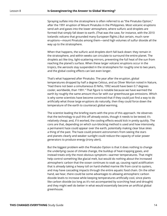Spraying sulfate into the stratosphere is often referred to as "the Pinatubo Option," after the 1991 eruption of Mount Pinatubo in the Philippines. Most volcanic eruptions send ash and gases into the lower atmosphere, where sulfuric acid droplets are formed that simply fall down to earth. (That was the case, for instance, with the 2010 Icelandic volcano that grounded many European flights.) But certain, much rarer eruptions—mount Pinatubo among them—send high volumes of sulfur dioxide all the way up to the stratosphere.

When that happens, the sulfuric acid droplets don't fall back down: they remain in the stratosphere, and within weeks can circulate to surround the entire planet. The droplets act like tiny, light-scattering mirrors, preventing the full heat of the sun from reaching the planet's surface. When these larger volcanic eruptions occur in the tropics, the aerosols stay suspended in the stratosphere for roughly one to two years, and the global cooling effects can last even longer.

That's what happened after Pinatubo. The year after the eruption, global temperatures dropped by half a degree Celsius, and as Oliver Morton noted in Nature, "Had there not been a simultaneous El Niño, 1992 would have been 0.7 degrees cooler, worldwide, than 1991." That figure is notable because we have warmed the earth by roughly the same amount thus far with our greenhouse gas emissions. Which is why some scientists have become convinced that if they could just find a way to do artificially what those large eruptions do naturally, then they could force down the temperature of the earth to counteract global warming.

The scientist leading the briefing starts with the pros of this approach. He observes that the technology to pull this off already exists, though it needs to be tested; it's relatively cheap; and, if it worked, the cooling effects would kick in pretty quickly. The cons are that, depending on which sun-blocking method is used and how intensively, a permanent haze could appear over the earth, potentially making clear blue skies a thing of the past. The haze could prevent astronomers from seeing the stars and planets clearly and weaker sunlight could reduce the capacity of solar power generators to produce energy (irony alert).

But the biggest problem with the Pinatubo Option is that it does nothing to change the underlying cause of climate change, the buildup of heat-trapping gases, and instead treats only the most obvious symptom—warmer temperatures. That might help control something like glacial melt, but would do nothing about the increased atmospheric carbon that the ocean continues to soak up, causing rapid acidification that is already taking a heavy toll on hard-shelled marine life from coral to oysters, and may have cascading impacts through the entire aquatic food chain. On the other hand, we hear, there could be some advantages to allowing atmospheric carbon dioxide levels to increase while keeping temperatures artificially cool, since plants like carbon dioxide (so long as it's not accompanied by scorching heat and drought) and they might well do better in what would essentially become an artificial global greenhouse.